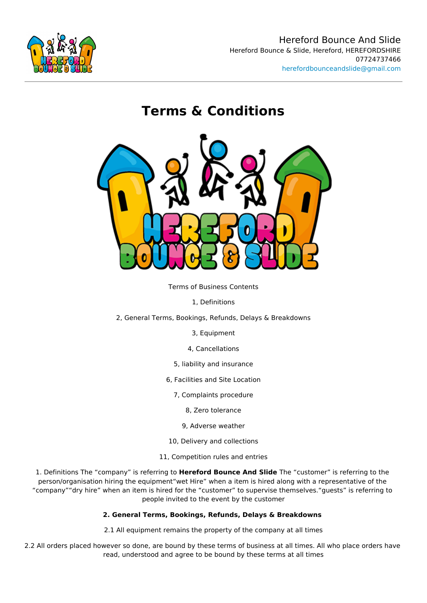# Terms & Condi[tions](mailto:herefordbounceandslide@gmail.com)

Terms of Business Contents

- 1, Definitions
- 2, General Terms, Bookings, Refunds, Delays & Breakdowns
	- 3, Equipment
	- 4, Cancellations
	- 5, liability and insurance
	- 6, Facilities and Site Location
		- 7, Complaints procedure
			- 8, Zero tolerance
			- 9, Adverse weather
	- 10, Delivery and collections
	- 11, Competition rules and entries

1. Definitions The company is Hreenferforindg Bicounce And Sfhiele customer is referring to the person/organisation hiring the equipment wet Hire when a item is hired along with a representative of the origination company dry hire when an item is hired for the customer to supervise themselves. g people invited to the event by the customer

- 2. General Terms, Bookings, Refunds, Delays & Breakdowns
- 2.1 All equipment remains the property of the company at all times

2.2 All orders placed however so done, are bound by these terms of business at all times. read, understood and agree to be bound by these terms at all times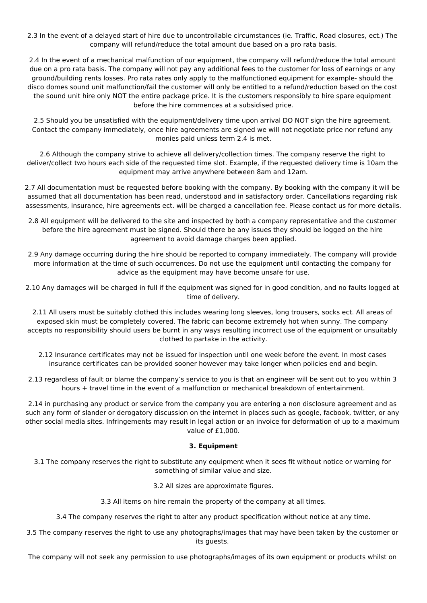2.3 In the event of a delayed start of hire due to uncontrollable circumstances (ie. Traffic, Road closures, ect.) The company will refund/reduce the total amount due based on a pro rata basis.

2.4 In the event of a mechanical malfunction of our equipment, the company will refund/reduce the total amount due on a pro rata basis. The company will not pay any additional fees to the customer for loss of earnings or any ground/building rents losses. Pro rata rates only apply to the malfunctioned equipment for example- should the disco domes sound unit malfunction/fail the customer will only be entitled to a refund/reduction based on the cost the sound unit hire only NOT the entire package price. It is the customers responsibly to hire spare equipment before the hire commences at a subsidised price.

2.5 Should you be unsatisfied with the equipment/delivery time upon arrival DO NOT sign the hire agreement. Contact the company immediately, once hire agreements are signed we will not negotiate price nor refund any monies paid unless term 2.4 is met.

2.6 Although the company strive to achieve all delivery/collection times. The company reserve the right to deliver/collect two hours each side of the requested time slot. Example, if the requested delivery time is 10am the equipment may arrive anywhere between 8am and 12am.

2.7 All documentation must be requested before booking with the company. By booking with the company it will be assumed that all documentation has been read, understood and in satisfactory order. Cancellations regarding risk assessments, insurance, hire agreements ect. will be charged a cancellation fee. Please contact us for more details.

- 2.8 All equipment will be delivered to the site and inspected by both a company representative and the customer before the hire agreement must be signed. Should there be any issues they should be logged on the hire agreement to avoid damage charges been applied.
- 2.9 Any damage occurring during the hire should be reported to company immediately. The company will provide more information at the time of such occurrences. Do not use the equipment until contacting the company for advice as the equipment may have become unsafe for use.
- 2.10 Any damages will be charged in full if the equipment was signed for in good condition, and no faults logged at time of delivery.

2.11 All users must be suitably clothed this includes wearing long sleeves, long trousers, socks ect. All areas of exposed skin must be completely covered. The fabric can become extremely hot when sunny. The company accepts no responsibility should users be burnt in any ways resulting incorrect use of the equipment or unsuitably clothed to partake in the activity.

- 2.12 Insurance certificates may not be issued for inspection until one week before the event. In most cases insurance certificates can be provided sooner however may take longer when policies end and begin.
- 2.13 regardless of fault or blame the company's service to you is that an engineer will be sent out to you within 3 hours + travel time in the event of a malfunction or mechanical breakdown of entertainment.

2.14 in purchasing any product or service from the company you are entering a non disclosure agreement and as such any form of slander or derogatory discussion on the internet in places such as google, facbook, twitter, or any other social media sites. Infringements may result in legal action or an invoice for deformation of up to a maximum value of £1,000.

# **3. Equipment**

3.1 The company reserves the right to substitute any equipment when it sees fit without notice or warning for something of similar value and size.

3.2 All sizes are approximate figures.

3.3 All items on hire remain the property of the company at all times.

3.4 The company reserves the right to alter any product specification without notice at any time.

3.5 The company reserves the right to use any photographs/images that may have been taken by the customer or its guests.

The company will not seek any permission to use photographs/images of its own equipment or products whilst on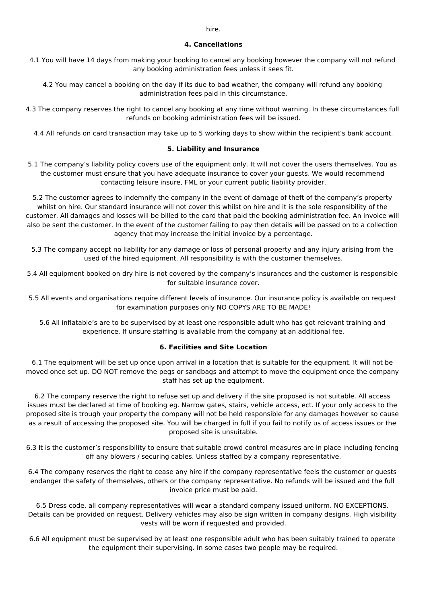### **4. Cancellations**

4.1 You will have 14 days from making your booking to cancel any booking however the company will not refund any booking administration fees unless it sees fit.

4.2 You may cancel a booking on the day if its due to bad weather, the company will refund any booking administration fees paid in this circumstance.

4.3 The company reserves the right to cancel any booking at any time without warning. In these circumstances full refunds on booking administration fees will be issued.

4.4 All refunds on card transaction may take up to 5 working days to show within the recipient's bank account.

#### **5. Liability and Insurance**

5.1 The company's liability policy covers use of the equipment only. It will not cover the users themselves. You as the customer must ensure that you have adequate insurance to cover your guests. We would recommend contacting leisure insure, FML or your current public liability provider.

5.2 The customer agrees to indemnify the company in the event of damage of theft of the company's property whilst on hire. Our standard insurance will not cover this whilst on hire and it is the sole responsibility of the customer. All damages and losses will be billed to the card that paid the booking administration fee. An invoice will also be sent the customer. In the event of the customer failing to pay then details will be passed on to a collection agency that may increase the initial invoice by a percentage.

5.3 The company accept no liability for any damage or loss of personal property and any injury arising from the used of the hired equipment. All responsibility is with the customer themselves.

5.4 All equipment booked on dry hire is not covered by the company's insurances and the customer is responsible for suitable insurance cover.

5.5 All events and organisations require different levels of insurance. Our insurance policy is available on request for examination purposes only NO COPYS ARE TO BE MADE!

5.6 All inflatable's are to be supervised by at least one responsible adult who has got relevant training and experience. If unsure staffing is available from the company at an additional fee.

#### **6. Facilities and Site Location**

6.1 The equipment will be set up once upon arrival in a location that is suitable for the equipment. It will not be moved once set up. DO NOT remove the pegs or sandbags and attempt to move the equipment once the company staff has set up the equipment.

6.2 The company reserve the right to refuse set up and delivery if the site proposed is not suitable. All access issues must be declared at time of booking eg. Narrow gates, stairs, vehicle access, ect. If your only access to the proposed site is trough your property the company will not be held responsible for any damages however so cause as a result of accessing the proposed site. You will be charged in full if you fail to notify us of access issues or the proposed site is unsuitable.

6.3 It is the customer's responsibility to ensure that suitable crowd control measures are in place including fencing off any blowers / securing cables. Unless staffed by a company representative.

6.4 The company reserves the right to cease any hire if the company representative feels the customer or guests endanger the safety of themselves, others or the company representative. No refunds will be issued and the full invoice price must be paid.

6.5 Dress code, all company representatives will wear a standard company issued uniform. NO EXCEPTIONS. Details can be provided on request. Delivery vehicles may also be sign written in company designs. High visibility vests will be worn if requested and provided.

6.6 All equipment must be supervised by at least one responsible adult who has been suitably trained to operate the equipment their supervising. In some cases two people may be required.

hire.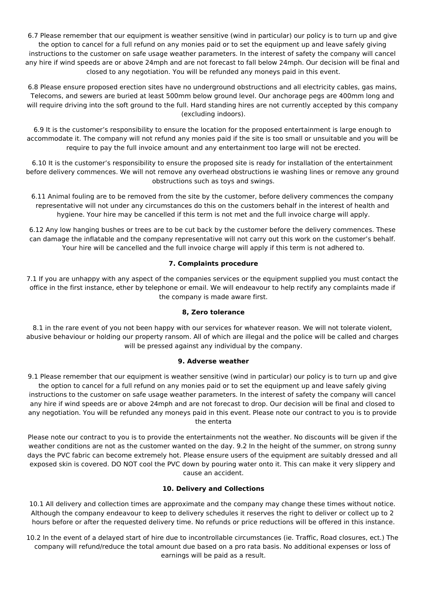6.7 Please remember that our equipment is weather sensitive (wind in particular) our policy is to turn up and give the option to cancel for a full refund on any monies paid or to set the equipment up and leave safely giving instructions to the customer on safe usage weather parameters. In the interest of safety the company will cancel any hire if wind speeds are or above 24mph and are not forecast to fall below 24mph. Our decision will be final and closed to any negotiation. You will be refunded any moneys paid in this event.

6.8 Please ensure proposed erection sites have no underground obstructions and all electricity cables, gas mains, Telecoms, and sewers are buried at least 500mm below ground level. Our anchorage pegs are 400mm long and will require driving into the soft ground to the full. Hard standing hires are not currently accepted by this company (excluding indoors).

6.9 It is the customer's responsibility to ensure the location for the proposed entertainment is large enough to accommodate it. The company will not refund any monies paid if the site is too small or unsuitable and you will be require to pay the full invoice amount and any entertainment too large will not be erected.

6.10 It is the customer's responsibility to ensure the proposed site is ready for installation of the entertainment before delivery commences. We will not remove any overhead obstructions ie washing lines or remove any ground obstructions such as toys and swings.

6.11 Animal fouling are to be removed from the site by the customer, before delivery commences the company representative will not under any circumstances do this on the customers behalf in the interest of health and hygiene. Your hire may be cancelled if this term is not met and the full invoice charge will apply.

6.12 Any low hanging bushes or trees are to be cut back by the customer before the delivery commences. These can damage the inflatable and the company representative will not carry out this work on the customer's behalf. Your hire will be cancelled and the full invoice charge will apply if this term is not adhered to.

# **7. Complaints procedure**

7.1 If you are unhappy with any aspect of the companies services or the equipment supplied you must contact the office in the first instance, ether by telephone or email. We will endeavour to help rectify any complaints made if the company is made aware first.

# **8, Zero tolerance**

8.1 in the rare event of you not been happy with our services for whatever reason. We will not tolerate violent, abusive behaviour or holding our property ransom. All of which are illegal and the police will be called and charges will be pressed against any individual by the company.

# **9. Adverse weather**

9.1 Please remember that our equipment is weather sensitive (wind in particular) our policy is to turn up and give the option to cancel for a full refund on any monies paid or to set the equipment up and leave safely giving instructions to the customer on safe usage weather parameters. In the interest of safety the company will cancel any hire if wind speeds are or above 24mph and are not forecast to drop. Our decision will be final and closed to any negotiation. You will be refunded any moneys paid in this event. Please note our contract to you is to provide the enterta

Please note our contract to you is to provide the entertainments not the weather. No discounts will be given if the weather conditions are not as the customer wanted on the day. 9.2 In the height of the summer, on strong sunny days the PVC fabric can become extremely hot. Please ensure users of the equipment are suitably dressed and all exposed skin is covered. DO NOT cool the PVC down by pouring water onto it. This can make it very slippery and cause an accident.

# **10. Delivery and Collections**

10.1 All delivery and collection times are approximate and the company may change these times without notice. Although the company endeavour to keep to delivery schedules it reserves the right to deliver or collect up to 2 hours before or after the requested delivery time. No refunds or price reductions will be offered in this instance.

10.2 In the event of a delayed start of hire due to incontrollable circumstances (ie. Traffic, Road closures, ect.) The company will refund/reduce the total amount due based on a pro rata basis. No additional expenses or loss of earnings will be paid as a result.